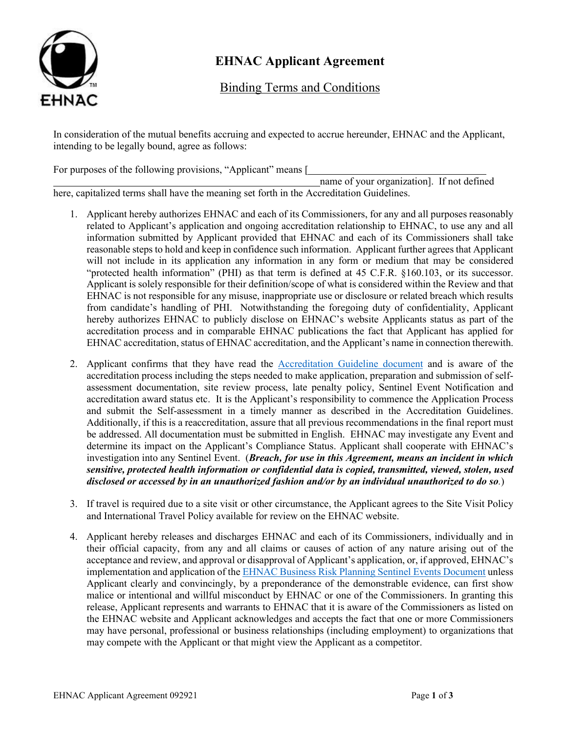

# **EHNAC Applicant Agreement**

Binding Terms and Conditions

In consideration of the mutual benefits accruing and expected to accrue hereunder, EHNAC and the Applicant, intending to be legally bound, agree as follows:

For purposes of the following provisions, "Applicant" means [

 name of your organization]. If not defined here, capitalized terms shall have the meaning set forth in the Accreditation Guidelines.

- 1. Applicant hereby authorizes EHNAC and each of its Commissioners, for any and all purposes reasonably related to Applicant's application and ongoing accreditation relationship to EHNAC, to use any and all information submitted by Applicant provided that EHNAC and each of its Commissioners shall take reasonable steps to hold and keep in confidence such information. Applicant further agrees that Applicant will not include in its application any information in any form or medium that may be considered "protected health information" (PHI) as that term is defined at 45 C.F.R. §160.103, or its successor. Applicant is solely responsible for their definition/scope of what is considered within the Review and that EHNAC is not responsible for any misuse, inappropriate use or disclosure or related breach which results from candidate's handling of PHI. Notwithstanding the foregoing duty of confidentiality, Applicant hereby authorizes EHNAC to publicly disclose on EHNAC's website Applicants status as part of the accreditation process and in comparable EHNAC publications the fact that Applicant has applied for EHNAC accreditation, status of EHNAC accreditation, and the Applicant's name in connection therewith.
- 2. Applicant confirms that they have read the [Accreditation Guideline document](https://www.ehnac.org/complete-guidelines/) and is aware of the accreditation process including the steps needed to make application, preparation and submission of selfassessment documentation, site review process, late penalty policy, Sentinel Event Notification and accreditation award status etc. It is the Applicant's responsibility to commence the Application Process and submit the Self-assessment in a timely manner as described in the Accreditation Guidelines. Additionally, if this is a reaccreditation, assure that all previous recommendations in the final report must be addressed. All documentation must be submitted in English. EHNAC may investigate any Event and determine its impact on the Applicant's Compliance Status. Applicant shall cooperate with EHNAC's investigation into any Sentinel Event. (*Breach, for use in this Agreement, means an incident in which sensitive, protected health information or confidential data is copied, transmitted, viewed, stolen, used disclosed or accessed by in an unauthorized fashion and/or by an individual unauthorized to do so.*)
- 3. If travel is required due to a site visit or other circumstance, the Applicant agrees to the Site Visit Policy and International Travel Policy available for review on the EHNAC website.
- 4. Applicant hereby releases and discharges EHNAC and each of its Commissioners, individually and in their official capacity, from any and all claims or causes of action of any nature arising out of the acceptance and review, and approval or disapproval of Applicant's application, or, if approved, EHNAC's implementation and application of the [EHNAC Business Risk Planning Sentinel Events Document u](https://www.ehnac.org/wp-content/uploads/2013/07/EHNAC-Sentinel-Event-Document-050820.pdf)nless Applicant clearly and convincingly, by a preponderance of the demonstrable evidence, can first show malice or intentional and willful misconduct by EHNAC or one of the Commissioners. In granting this release, Applicant represents and warrants to EHNAC that it is aware of the Commissioners as listed on the EHNAC website and Applicant acknowledges and accepts the fact that one or more Commissioners may have personal, professional or business relationships (including employment) to organizations that may compete with the Applicant or that might view the Applicant as a competitor.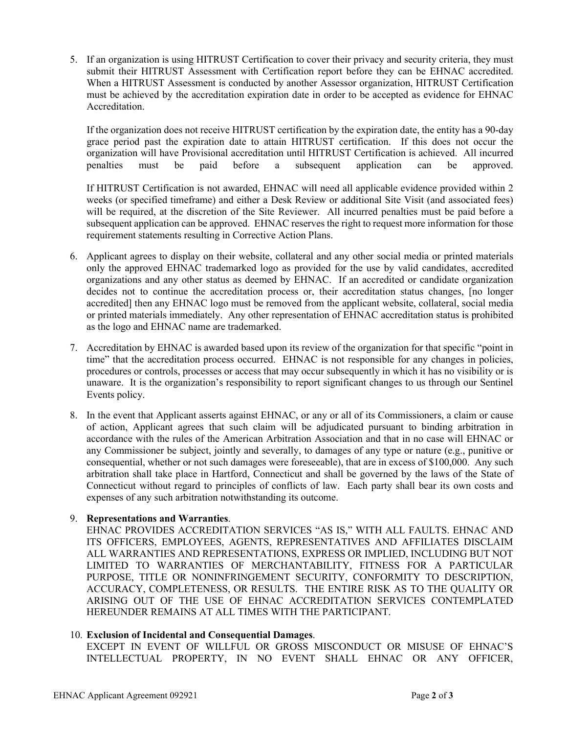5. If an organization is using HITRUST Certification to cover their privacy and security criteria, they must submit their HITRUST Assessment with Certification report before they can be EHNAC accredited. When a HITRUST Assessment is conducted by another Assessor organization, HITRUST Certification must be achieved by the accreditation expiration date in order to be accepted as evidence for EHNAC Accreditation.

If the organization does not receive HITRUST certification by the expiration date, the entity has a 90-day grace period past the expiration date to attain HITRUST certification. If this does not occur the organization will have Provisional accreditation until HITRUST Certification is achieved. All incurred penalties must be paid before a subsequent application can be approved.

If HITRUST Certification is not awarded, EHNAC will need all applicable evidence provided within 2 weeks (or specified timeframe) and either a Desk Review or additional Site Visit (and associated fees) will be required, at the discretion of the Site Reviewer. All incurred penalties must be paid before a subsequent application can be approved. EHNAC reserves the right to request more information for those requirement statements resulting in Corrective Action Plans.

- 6. Applicant agrees to display on their website, collateral and any other social media or printed materials only the approved EHNAC trademarked logo as provided for the use by valid candidates, accredited organizations and any other status as deemed by EHNAC. If an accredited or candidate organization decides not to continue the accreditation process or, their accreditation status changes, [no longer accredited] then any EHNAC logo must be removed from the applicant website, collateral, social media or printed materials immediately. Any other representation of EHNAC accreditation status is prohibited as the logo and EHNAC name are trademarked.
- 7. Accreditation by EHNAC is awarded based upon its review of the organization for that specific "point in time" that the accreditation process occurred. EHNAC is not responsible for any changes in policies, procedures or controls, processes or access that may occur subsequently in which it has no visibility or is unaware. It is the organization's responsibility to report significant changes to us through our Sentinel Events policy.
- 8. In the event that Applicant asserts against EHNAC, or any or all of its Commissioners, a claim or cause of action, Applicant agrees that such claim will be adjudicated pursuant to binding arbitration in accordance with the rules of the American Arbitration Association and that in no case will EHNAC or any Commissioner be subject, jointly and severally, to damages of any type or nature (e.g., punitive or consequential, whether or not such damages were foreseeable), that are in excess of \$100,000. Any such arbitration shall take place in Hartford, Connecticut and shall be governed by the laws of the State of Connecticut without regard to principles of conflicts of law. Each party shall bear its own costs and expenses of any such arbitration notwithstanding its outcome.

## 9. **Representations and Warranties**.

EHNAC PROVIDES ACCREDITATION SERVICES "AS IS," WITH ALL FAULTS. EHNAC AND ITS OFFICERS, EMPLOYEES, AGENTS, REPRESENTATIVES AND AFFILIATES DISCLAIM ALL WARRANTIES AND REPRESENTATIONS, EXPRESS OR IMPLIED, INCLUDING BUT NOT LIMITED TO WARRANTIES OF MERCHANTABILITY, FITNESS FOR A PARTICULAR PURPOSE, TITLE OR NONINFRINGEMENT SECURITY, CONFORMITY TO DESCRIPTION, ACCURACY, COMPLETENESS, OR RESULTS. THE ENTIRE RISK AS TO THE QUALITY OR ARISING OUT OF THE USE OF EHNAC ACCREDITATION SERVICES CONTEMPLATED HEREUNDER REMAINS AT ALL TIMES WITH THE PARTICIPANT.

## 10. **Exclusion of Incidental and Consequential Damages**.

EXCEPT IN EVENT OF WILLFUL OR GROSS MISCONDUCT OR MISUSE OF EHNAC'S INTELLECTUAL PROPERTY, IN NO EVENT SHALL EHNAC OR ANY OFFICER,